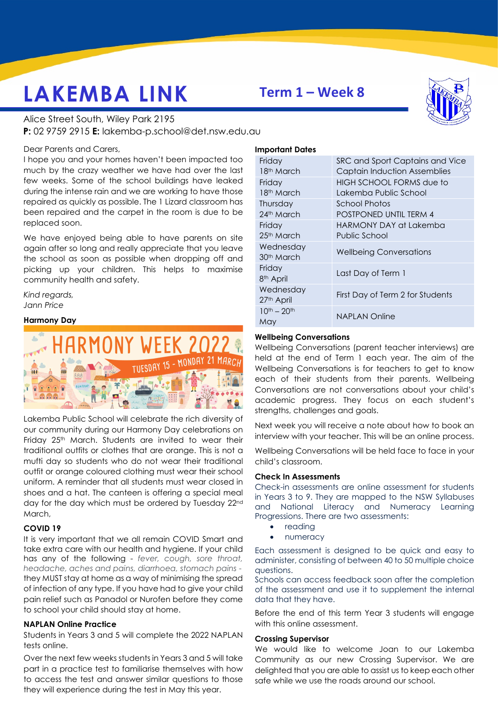# **LAKEMBA LINK**

## **Term 1 – Week 8**

Alice Street South, Wiley Park 2195 **P:** 02 9759 2915 **E:** lakemba-p.school@det.nsw.edu.au

#### Dear Parents and Carers,

I hope you and your homes haven't been impacted too much by the crazy weather we have had over the last few weeks. Some of the school buildings have leaked during the intense rain and we are working to have those repaired as quickly as possible. The 1 Lizard classroom has been repaired and the carpet in the room is due to be replaced soon.

We have enjoyed being able to have parents on site again after so long and really appreciate that you leave the school as soon as possible when dropping off and picking up your children. This helps to maximise community health and safety.

*Kind regards, Jann Price* 

#### **Harmony Day**



Lakemba Public School will celebrate the rich diversity of our community during our Harmony Day celebrations on Friday 25<sup>th</sup> March. Students are invited to wear their traditional outfits or clothes that are orange. This is not a mufti day so students who do not wear their traditional outfit or orange coloured clothing must wear their school uniform. A reminder that all students must wear closed in shoes and a hat. The canteen is offering a special meal day for the day which must be ordered by Tuesday 22nd March,

#### **COVID 19**

It is very important that we all remain COVID Smart and take extra care with our health and hygiene. If your child has any of the following - *fever, cough, sore throat, headache, aches and pains, diarrhoea, stomach pains* they MUST stay at home as a way of minimising the spread of infection of any type. If you have had to give your child pain relief such as Panadol or Nurofen before they come to school your child should stay at home.

#### **NAPLAN Online Practice**

Students in Years 3 and 5 will complete the 2022 NAPLAN tests online.

Over the next few weeks students in Years 3 and 5 will take part in a practice test to familiarise themselves with how to access the test and answer similar questions to those they will experience during the test in May this year.



#### **Important Dates**

| Friday                 | SRC and Sport Captains and Vice     |
|------------------------|-------------------------------------|
| 18 <sup>th</sup> March | <b>Captain Induction Assemblies</b> |
| Friday                 | HIGH SCHOOL FORMS due to            |
| 18 <sup>th</sup> March | Lakemba Public School               |
| Thursday               | School Photos                       |
| 24th March             | <b>POSTPONED UNTIL TERM 4</b>       |
| Friday                 | HARMONY DAY at Lakemba              |
| 25 <sup>th</sup> March | Public School                       |
| Wednesday              | <b>Wellbeing Conversations</b>      |
| 30 <sup>th</sup> March |                                     |
| Friday                 | Last Day of Term 1                  |
| 8 <sup>th</sup> April  |                                     |
| Wednesday              | First Day of Term 2 for Students    |
| 27th April             |                                     |
| $10^{th} - 20^{th}$    | NAPLAN Online                       |
| May                    |                                     |

#### **Wellbeing Conversations**

Wellbeing Conversations (parent teacher interviews) are held at the end of Term 1 each year. The aim of the Wellbeing Conversations is for teachers to get to know each of their students from their parents. Wellbeing Conversations are not conversations about your child's academic progress. They focus on each student's strengths, challenges and goals.

Next week you will receive a note about how to book an interview with your teacher. This will be an online process.

Wellbeing Conversations will be held face to face in your child's classroom.

#### **Check In Assessments**

Check-in assessments are online assessment for students in Years 3 to 9. They are mapped to the NSW Syllabuses and National Literacy and Numeracy Learning Progressions. There are two assessments:

- reading
- numeracy

Each assessment is designed to be quick and easy to administer, consisting of between 40 to 50 multiple choice questions.

Schools can access feedback soon after the completion of the assessment and use it to supplement the internal data that they have.

Before the end of this term Year 3 students will engage with this online assessment.

#### **Crossing Supervisor**

We would like to welcome Joan to our Lakemba Community as our new Crossing Supervisor. We are delighted that you are able to assist us to keep each other safe while we use the roads around our school.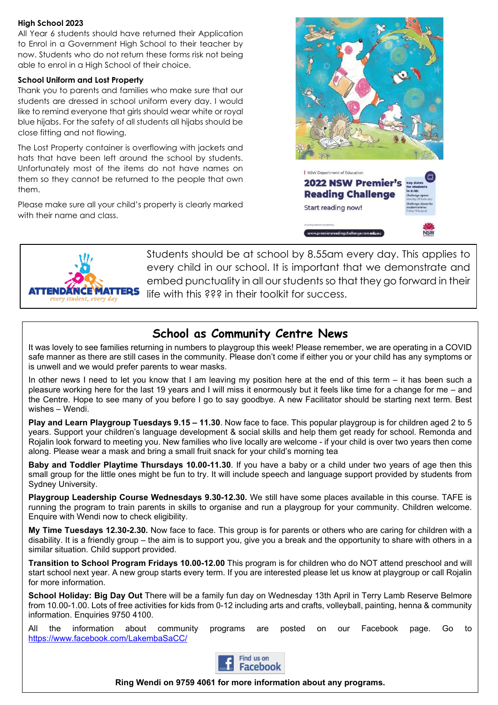#### **High School 2023**

All Year 6 students should have returned their Application to Enrol in a Government High School to their teacher by now. Students who do not return these forms risk not being able to enrol in a High School of their choice.

#### **School Uniform and Lost Property**

Thank you to parents and families who make sure that our students are dressed in school uniform every day. I would like to remind everyone that girls should wear white or royal blue hijabs. For the safety of all students all hijabs should be close fitting and not flowing.

The Lost Property container is overflowing with jackets and hats that have been left around the school by students. Unfortunately most of the items do not have names on them so they cannot be returned to the people that own them.

Please make sure all your child's property is clearly marked with their name and class.





Students should be at school by 8.55am every day. This applies to every child in our school. It is important that we demonstrate and embed punctuality in all our students so that they go forward in their life with this ??? in their toolkit for success.

### **School as Community Centre News**

It was lovely to see families returning in numbers to playgroup this week! Please remember, we are operating in a COVID safe manner as there are still cases in the community. Please don't come if either you or your child has any symptoms or is unwell and we would prefer parents to wear masks.

In other news I need to let you know that I am leaving my position here at the end of this term – it has been such a pleasure working here for the last 19 years and I will miss it enormously but it feels like time for a change for me – and the Centre. Hope to see many of you before I go to say goodbye. A new Facilitator should be starting next term. Best wishes – Wendi.

**Play and Learn Playgroup Tuesdays 9.15 – 11.30**. Now face to face. This popular playgroup is for children aged 2 to 5 years. Support your children's language development & social skills and help them get ready for school. Remonda and Rojalin look forward to meeting you. New families who live locally are welcome - if your child is over two years then come along. Please wear a mask and bring a small fruit snack for your child's morning tea

**Baby and Toddler Playtime Thursdays 10.00-11.30**. If you have a baby or a child under two years of age then this small group for the little ones might be fun to try. It will include speech and language support provided by students from Sydney University.

**Playgroup Leadership Course Wednesdays 9.30-12.30.** We still have some places available in this course. TAFE is running the program to train parents in skills to organise and run a playgroup for your community. Children welcome. Enquire with Wendi now to check eligibility.

**My Time Tuesdays 12.30-2.30.** Now face to face. This group is for parents or others who are caring for children with a disability. It is a friendly group – the aim is to support you, give you a break and the opportunity to share with others in a similar situation. Child support provided.

**Transition to School Program Fridays 10.00-12.00** This program is for children who do NOT attend preschool and will start school next year. A new group starts every term. If you are interested please let us know at playgroup or call Rojalin for more information.

**School Holiday: Big Day Out** There will be a family fun day on Wednesday 13th April in Terry Lamb Reserve Belmore from 10.00-1.00. Lots of free activities for kids from 0-12 including arts and crafts, volleyball, painting, henna & community information. Enquiries 9750 4100.

All the information about community programs are posted on our Facebook page. Go to <https://www.facebook.com/LakembaSaCC/>



**Ring Wendi on 9759 4061 for more information about any programs.**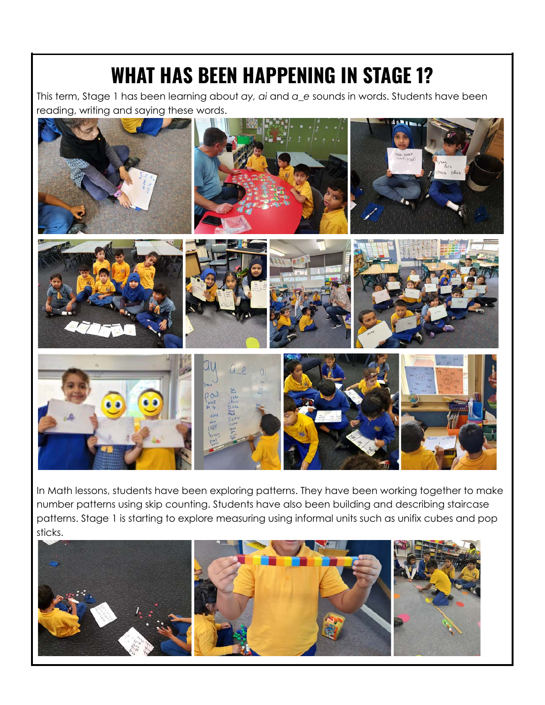## **WHAT HAS BEEN HAPPENING IN STAGE 1?**

This term, Stage 1 has been learning about *ay, ai* and *a\_e* sounds in words. Students have been reading, writing and saying these words.



In Math lessons, students have been exploring patterns. They have been working together to make number patterns using skip counting. Students have also been building and describing staircase patterns. Stage 1 is starting to explore measuring using informal units such as unifix cubes and pop sticks.